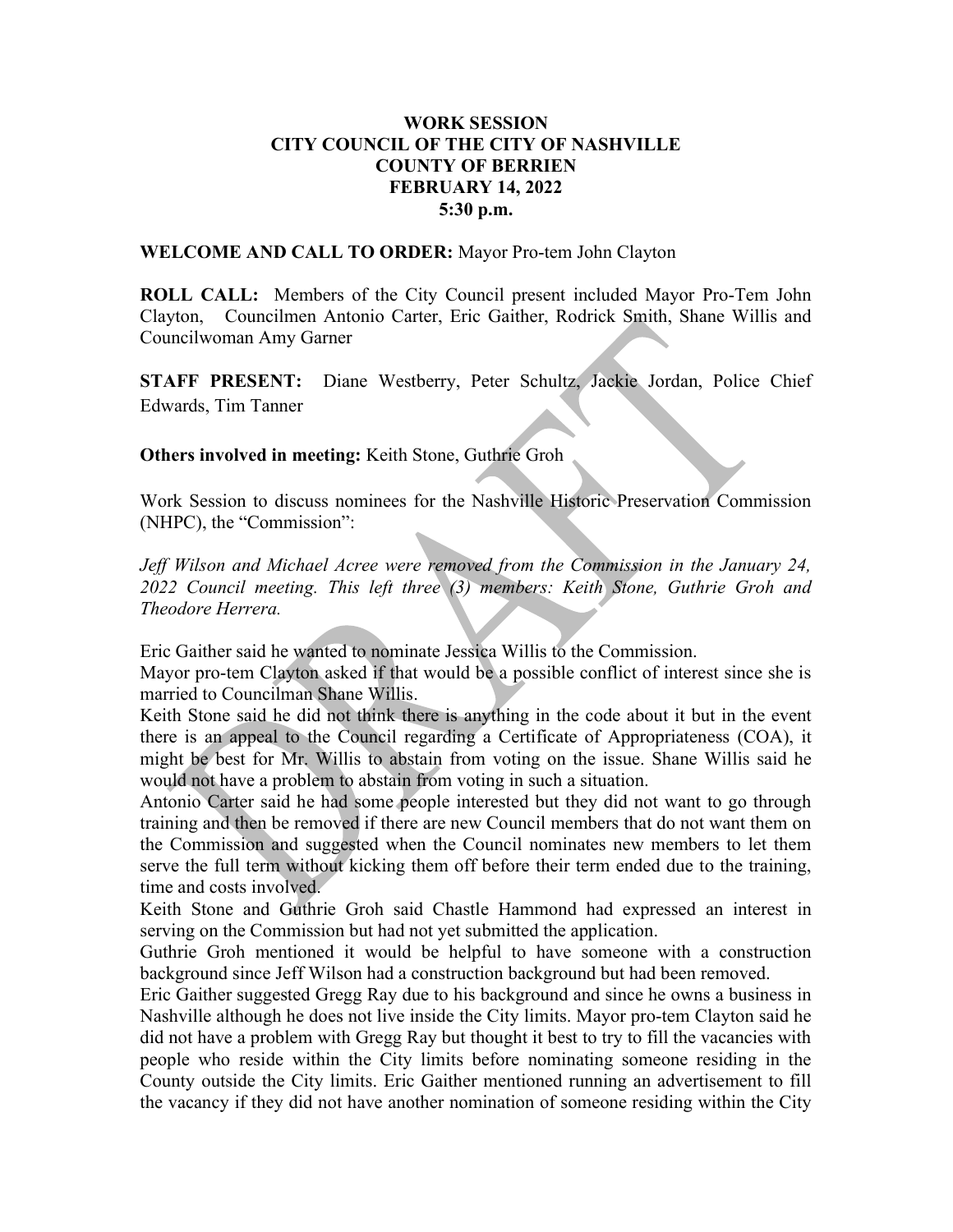## WORK SESSION CITY COUNCIL OF THE CITY OF NASHVILLE COUNTY OF BERRIEN FEBRUARY 14, 2022 5:30 p.m.

WELCOME AND CALL TO ORDER: Mayor Pro-tem John Clayton

ROLL CALL: Members of the City Council present included Mayor Pro-Tem John Clayton, Councilmen Antonio Carter, Eric Gaither, Rodrick Smith, Shane Willis and Councilwoman Amy Garner

STAFF PRESENT: Diane Westberry, Peter Schultz, Jackie Jordan, Police Chief Edwards, Tim Tanner

Others involved in meeting: Keith Stone, Guthrie Groh

Work Session to discuss nominees for the Nashville Historic Preservation Commission (NHPC), the "Commission":

Jeff Wilson and Michael Acree were removed from the Commission in the January 24, 2022 Council meeting. This left three (3) members: Keith Stone, Guthrie Groh and Theodore Herrera.

Eric Gaither said he wanted to nominate Jessica Willis to the Commission.

Mayor pro-tem Clayton asked if that would be a possible conflict of interest since she is married to Councilman Shane Willis.

Keith Stone said he did not think there is anything in the code about it but in the event there is an appeal to the Council regarding a Certificate of Appropriateness (COA), it might be best for Mr. Willis to abstain from voting on the issue. Shane Willis said he would not have a problem to abstain from voting in such a situation.

Antonio Carter said he had some people interested but they did not want to go through training and then be removed if there are new Council members that do not want them on the Commission and suggested when the Council nominates new members to let them serve the full term without kicking them off before their term ended due to the training, time and costs involved.

Keith Stone and Guthrie Groh said Chastle Hammond had expressed an interest in serving on the Commission but had not yet submitted the application.

Guthrie Groh mentioned it would be helpful to have someone with a construction background since Jeff Wilson had a construction background but had been removed.

Eric Gaither suggested Gregg Ray due to his background and since he owns a business in Nashville although he does not live inside the City limits. Mayor pro-tem Clayton said he did not have a problem with Gregg Ray but thought it best to try to fill the vacancies with people who reside within the City limits before nominating someone residing in the County outside the City limits. Eric Gaither mentioned running an advertisement to fill the vacancy if they did not have another nomination of someone residing within the City